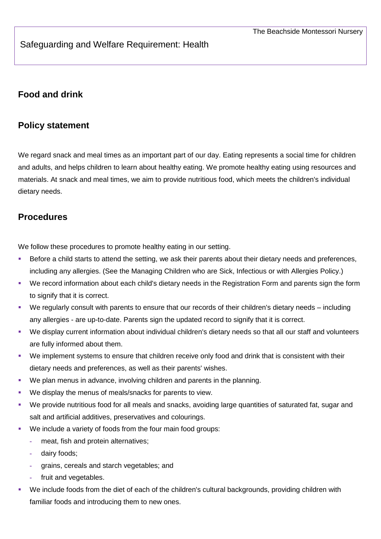# Safeguarding and Welfare Requirement: Health

# **Food and drink**

### **Policy statement**

We regard snack and meal times as an important part of our day. Eating represents a social time for children and adults, and helps children to learn about healthy eating. We promote healthy eating using resources and materials. At snack and meal times, we aim to provide nutritious food, which meets the children's individual dietary needs.

#### **Procedures**

We follow these procedures to promote healthy eating in our setting.

- Before a child starts to attend the setting, we ask their parents about their dietary needs and preferences, including any allergies. (See the Managing Children who are Sick, Infectious or with Allergies Policy.)
- We record information about each child's dietary needs in the Registration Form and parents sign the form to signify that it is correct.
- We regularly consult with parents to ensure that our records of their children's dietary needs including any allergies - are up-to-date. Parents sign the updated record to signify that it is correct.
- We display current information about individual children's dietary needs so that all our staff and volunteers are fully informed about them.
- We implement systems to ensure that children receive only food and drink that is consistent with their dietary needs and preferences, as well as their parents' wishes.
- We plan menus in advance, involving children and parents in the planning.
- We display the menus of meals/snacks for parents to view.
- We provide nutritious food for all meals and snacks, avoiding large quantities of saturated fat, sugar and salt and artificial additives, preservatives and colourings.
- We include a variety of foods from the four main food groups:
	- **-** meat, fish and protein alternatives;
	- **-** dairy foods;
	- **-** grains, cereals and starch vegetables; and
	- **-** fruit and vegetables.
- We include foods from the diet of each of the children's cultural backgrounds, providing children with familiar foods and introducing them to new ones.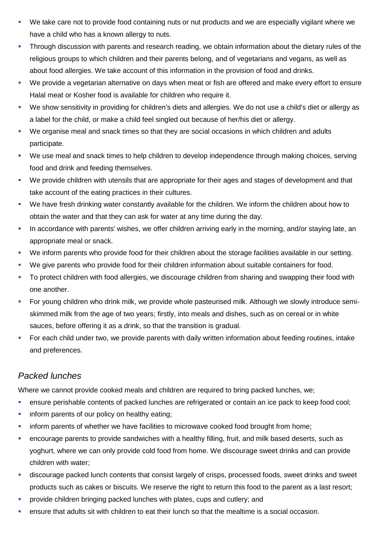- We take care not to provide food containing nuts or nut products and we are especially vigilant where we have a child who has a known allergy to nuts.
- Through discussion with parents and research reading, we obtain information about the dietary rules of the religious groups to which children and their parents belong, and of vegetarians and vegans, as well as about food allergies. We take account of this information in the provision of food and drinks.
- We provide a vegetarian alternative on days when meat or fish are offered and make every effort to ensure Halal meat or Kosher food is available for children who require it.
- We show sensitivity in providing for children's diets and allergies. We do not use a child's diet or allergy as a label for the child, or make a child feel singled out because of her/his diet or allergy.
- We organise meal and snack times so that they are social occasions in which children and adults participate.
- We use meal and snack times to help children to develop independence through making choices, serving food and drink and feeding themselves.
- We provide children with utensils that are appropriate for their ages and stages of development and that take account of the eating practices in their cultures.
- We have fresh drinking water constantly available for the children. We inform the children about how to obtain the water and that they can ask for water at any time during the day.
- In accordance with parents' wishes, we offer children arriving early in the morning, and/or staying late, an appropriate meal or snack.
- We inform parents who provide food for their children about the storage facilities available in our setting.
- We give parents who provide food for their children information about suitable containers for food.
- To protect children with food allergies, we discourage children from sharing and swapping their food with one another.
- For young children who drink milk, we provide whole pasteurised milk. Although we slowly introduce semiskimmed milk from the age of two years; firstly, into meals and dishes, such as on cereal or in white sauces, before offering it as a drink, so that the transition is gradual.
- For each child under two, we provide parents with daily written information about feeding routines, intake and preferences.

# *Packed lunches*

Where we cannot provide cooked meals and children are required to bring packed lunches, we;

- ensure perishable contents of packed lunches are refrigerated or contain an ice pack to keep food cool;
- **inform parents of our policy on healthy eating;**
- **inform parents of whether we have facilities to microwave cooked food brought from home;**
- encourage parents to provide sandwiches with a healthy filling, fruit, and milk based deserts, such as yoghurt, where we can only provide cold food from home. We discourage sweet drinks and can provide children with water;
- discourage packed lunch contents that consist largely of crisps, processed foods, sweet drinks and sweet products such as cakes or biscuits. We reserve the right to return this food to the parent as a last resort;
- provide children bringing packed lunches with plates, cups and cutlery; and
- ensure that adults sit with children to eat their lunch so that the mealtime is a social occasion.